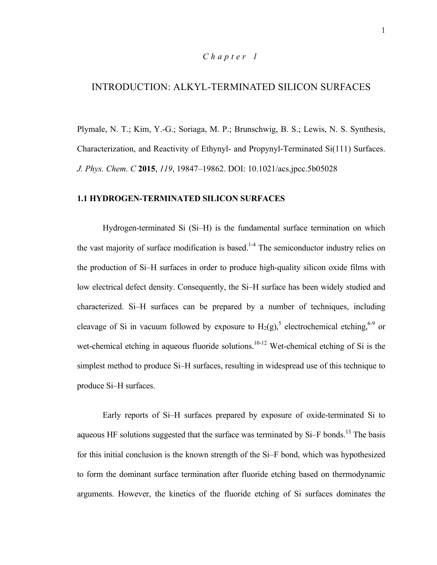## *Chapter 1*

# INTRODUCTION: ALKYL-TERMINATED SILICON SURFACES

Plymale, N. T.; Kim, Y.-G.; Soriaga, M. P.; Brunschwig, B. S.; Lewis, N. S. Synthesis, Characterization, and Reactivity of Ethynyl- and Propynyl-Terminated Si(111) Surfaces. *J. Phys. Chem. C* **2015**, *119*, 19847–19862. DOI: 10.1021/acs.jpcc.5b05028

#### **1.1 HYDROGEN-TERMINATED SILICON SURFACES**

Hydrogen-terminated Si (Si–H) is the fundamental surface termination on which the vast majority of surface modification is based.<sup>1-4</sup> The semiconductor industry relies on the production of Si–H surfaces in order to produce high-quality silicon oxide films with low electrical defect density. Consequently, the Si–H surface has been widely studied and characterized. Si–H surfaces can be prepared by a number of techniques, including cleavage of Si in vacuum followed by exposure to  $H_2(g)$ , electrochemical etching,<sup>6-9</sup> or wet-chemical etching in aqueous fluoride solutions.<sup>10-12</sup> Wet-chemical etching of Si is the simplest method to produce Si–H surfaces, resulting in widespread use of this technique to produce Si–H surfaces.

Early reports of Si–H surfaces prepared by exposure of oxide-terminated Si to aqueous HF solutions suggested that the surface was terminated by  $Si-F$  bonds.<sup>13</sup> The basis for this initial conclusion is the known strength of the Si–F bond, which was hypothesized to form the dominant surface termination after fluoride etching based on thermodynamic arguments. However, the kinetics of the fluoride etching of Si surfaces dominates the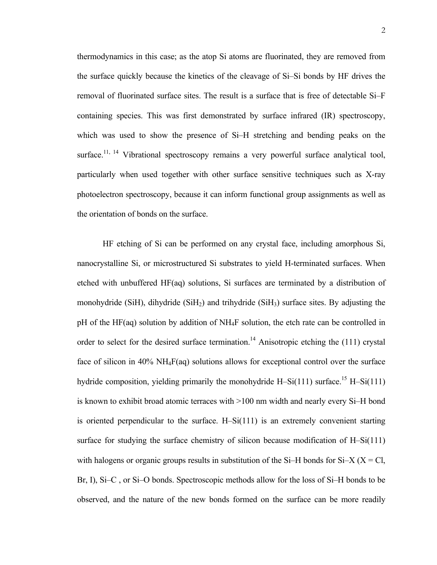thermodynamics in this case; as the atop Si atoms are fluorinated, they are removed from the surface quickly because the kinetics of the cleavage of Si–Si bonds by HF drives the removal of fluorinated surface sites. The result is a surface that is free of detectable Si–F containing species. This was first demonstrated by surface infrared (IR) spectroscopy, which was used to show the presence of Si–H stretching and bending peaks on the surface.<sup>11, 14</sup> Vibrational spectroscopy remains a very powerful surface analytical tool, particularly when used together with other surface sensitive techniques such as X-ray photoelectron spectroscopy, because it can inform functional group assignments as well as the orientation of bonds on the surface.

HF etching of Si can be performed on any crystal face, including amorphous Si, nanocrystalline Si, or microstructured Si substrates to yield H-terminated surfaces. When etched with unbuffered HF(aq) solutions, Si surfaces are terminated by a distribution of monohydride (SiH), dihydride (SiH<sub>2</sub>) and trihydride (SiH<sub>3</sub>) surface sites. By adjusting the pH of the HF(aq) solution by addition of NH4F solution, the etch rate can be controlled in order to select for the desired surface termination.<sup>14</sup> Anisotropic etching the  $(111)$  crystal face of silicon in 40% NH4F(aq) solutions allows for exceptional control over the surface hydride composition, yielding primarily the monohydride H–Si(111) surface.<sup>15</sup> H–Si(111) is known to exhibit broad atomic terraces with >100 nm width and nearly every Si–H bond is oriented perpendicular to the surface. H–Si(111) is an extremely convenient starting surface for studying the surface chemistry of silicon because modification of H–Si(111) with halogens or organic groups results in substitution of the Si-H bonds for Si-X ( $X = Cl$ , Br, I), Si–C , or Si–O bonds. Spectroscopic methods allow for the loss of Si–H bonds to be observed, and the nature of the new bonds formed on the surface can be more readily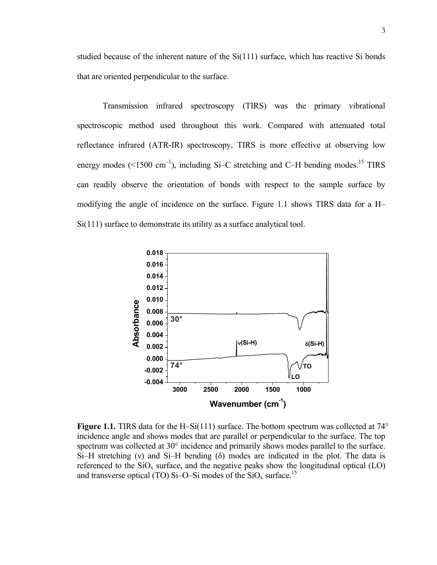studied because of the inherent nature of the  $Si(111)$  surface, which has reactive Si bonds that are oriented perpendicular to the surface.

Transmission infrared spectroscopy (TIRS) was the primary vibrational spectroscopic method used throughout this work. Compared with attenuated total reflectance infrared (ATR-IR) spectroscopy, TIRS is more effective at observing low energy modes  $(<1500 \text{ cm}^{-1})$ , including Si-C stretching and C-H bending modes.<sup>15</sup> TIRS can readily observe the orientation of bonds with respect to the sample surface by modifying the angle of incidence on the surface. Figure 1.1 shows TIRS data for a H– Si(111) surface to demonstrate its utility as a surface analytical tool.



**Figure 1.1.** TIRS data for the H–Si(111) surface. The bottom spectrum was collected at  $74^{\circ}$ incidence angle and shows modes that are parallel or perpendicular to the surface. The top spectrum was collected at 30° incidence and primarily shows modes parallel to the surface. Si–H stretching (ν) and Si–H bending (δ) modes are indicated in the plot. The data is referenced to the  $SiO_x$  surface, and the negative peaks show the longitudinal optical (LO) and transverse optical (TO) Si-O-Si modes of the  $SiO_x$  surface.<sup>15</sup>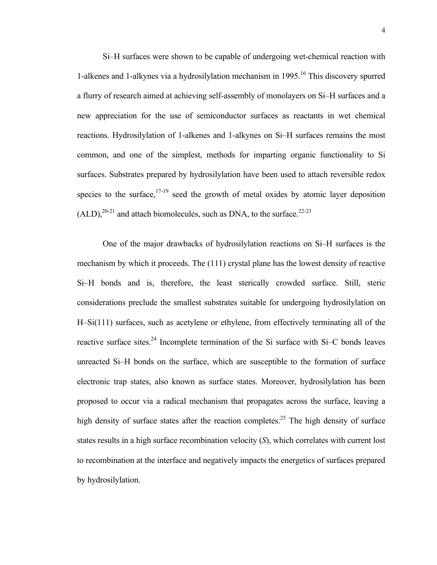Si–H surfaces were shown to be capable of undergoing wet-chemical reaction with 1-alkenes and 1-alkynes via a hydrosilylation mechanism in  $1995$ <sup>16</sup>. This discovery spurred a flurry of research aimed at achieving self-assembly of monolayers on Si–H surfaces and a new appreciation for the use of semiconductor surfaces as reactants in wet chemical reactions. Hydrosilylation of 1-alkenes and 1-alkynes on Si–H surfaces remains the most common, and one of the simplest, methods for imparting organic functionality to Si surfaces. Substrates prepared by hydrosilylation have been used to attach reversible redox species to the surface,  $17-19$  seed the growth of metal oxides by atomic layer deposition  $(ALD)$ ,<sup>20-21</sup> and attach biomolecules, such as DNA, to the surface.<sup>22-23</sup>

One of the major drawbacks of hydrosilylation reactions on Si–H surfaces is the mechanism by which it proceeds. The (111) crystal plane has the lowest density of reactive Si–H bonds and is, therefore, the least sterically crowded surface. Still, steric considerations preclude the smallest substrates suitable for undergoing hydrosilylation on H–Si(111) surfaces, such as acetylene or ethylene, from effectively terminating all of the reactive surface sites.<sup>24</sup> Incomplete termination of the Si surface with Si–C bonds leaves unreacted Si–H bonds on the surface, which are susceptible to the formation of surface electronic trap states, also known as surface states. Moreover, hydrosilylation has been proposed to occur via a radical mechanism that propagates across the surface, leaving a high density of surface states after the reaction completes.<sup>25</sup> The high density of surface states results in a high surface recombination velocity (*S*), which correlates with current lost to recombination at the interface and negatively impacts the energetics of surfaces prepared by hydrosilylation.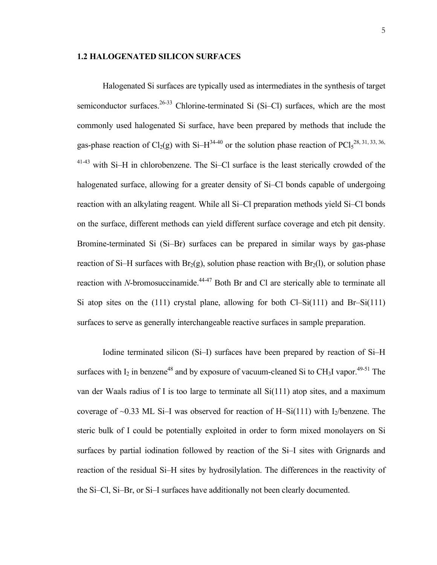#### **1.2 HALOGENATED SILICON SURFACES**

Halogenated Si surfaces are typically used as intermediates in the synthesis of target semiconductor surfaces.<sup>26-33</sup> Chlorine-terminated Si (Si–Cl) surfaces, which are the most commonly used halogenated Si surface, have been prepared by methods that include the gas-phase reaction of Cl<sub>2</sub>(g) with Si–H<sup>34-40</sup> or the solution phase reaction of PCl<sub>5</sub><sup>28, 31, 33, 36,</sup> 41-43 with Si–H in chlorobenzene. The Si–Cl surface is the least sterically crowded of the halogenated surface, allowing for a greater density of Si–Cl bonds capable of undergoing reaction with an alkylating reagent. While all Si–Cl preparation methods yield Si–Cl bonds on the surface, different methods can yield different surface coverage and etch pit density. Bromine-terminated Si (Si–Br) surfaces can be prepared in similar ways by gas-phase reaction of Si–H surfaces with  $Br_2(g)$ , solution phase reaction with  $Br_2(l)$ , or solution phase reaction with *N*-bromosuccinamide.<sup>44-47</sup> Both Br and Cl are sterically able to terminate all Si atop sites on the (111) crystal plane, allowing for both Cl–Si(111) and Br–Si(111) surfaces to serve as generally interchangeable reactive surfaces in sample preparation.

Iodine terminated silicon (Si–I) surfaces have been prepared by reaction of Si–H surfaces with  $I_2$  in benzene<sup>48</sup> and by exposure of vacuum-cleaned Si to CH<sub>3</sub>I vapor.<sup>49-51</sup> The van der Waals radius of I is too large to terminate all Si(111) atop sites, and a maximum coverage of  $\sim 0.33$  ML Si-I was observed for reaction of H-Si(111) with I<sub>2</sub>/benzene. The steric bulk of I could be potentially exploited in order to form mixed monolayers on Si surfaces by partial iodination followed by reaction of the Si–I sites with Grignards and reaction of the residual Si–H sites by hydrosilylation. The differences in the reactivity of the Si–Cl, Si–Br, or Si–I surfaces have additionally not been clearly documented.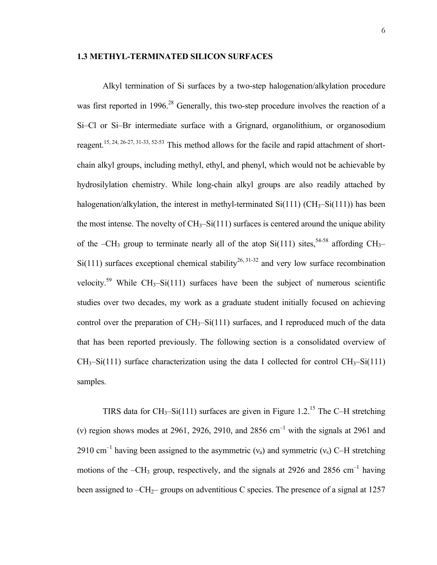#### **1.3 METHYL-TERMINATED SILICON SURFACES**

Alkyl termination of Si surfaces by a two-step halogenation/alkylation procedure was first reported in 1996.<sup>28</sup> Generally, this two-step procedure involves the reaction of a Si–Cl or Si–Br intermediate surface with a Grignard, organolithium, or organosodium reagent.<sup>15, 24, 26-27, 31-33, 52-53</sup> This method allows for the facile and rapid attachment of shortchain alkyl groups, including methyl, ethyl, and phenyl, which would not be achievable by hydrosilylation chemistry. While long-chain alkyl groups are also readily attached by halogenation/alkylation, the interest in methyl-terminated  $Si(111)$  (CH<sub>3</sub>– $Si(111)$ ) has been the most intense. The novelty of  $CH_3-Si(111)$  surfaces is centered around the unique ability of the –CH<sub>3</sub> group to terminate nearly all of the atop Si(111) sites,<sup>54-58</sup> affording CH<sub>3</sub>–  $Si(111)$  surfaces exceptional chemical stability<sup>26, 31-32</sup> and very low surface recombination velocity.<sup>59</sup> While CH<sub>3</sub>–Si(111) surfaces have been the subject of numerous scientific studies over two decades, my work as a graduate student initially focused on achieving control over the preparation of  $CH_3-Si(111)$  surfaces, and I reproduced much of the data that has been reported previously. The following section is a consolidated overview of  $CH_3-Si(111)$  surface characterization using the data I collected for control  $CH_3-Si(111)$ samples.

TIRS data for CH<sub>3</sub>-Si(111) surfaces are given in Figure 1.2.<sup>15</sup> The C-H stretching (v) region shows modes at 2961, 2926, 2910, and 2856 cm<sup>-1</sup> with the signals at 2961 and 2910 cm<sup>-1</sup> having been assigned to the asymmetric ( $v_a$ ) and symmetric ( $v_s$ ) C–H stretching motions of the  $-CH_3$  group, respectively, and the signals at 2926 and 2856 cm<sup>-1</sup> having been assigned to  $-CH_2$ – groups on adventitious C species. The presence of a signal at 1257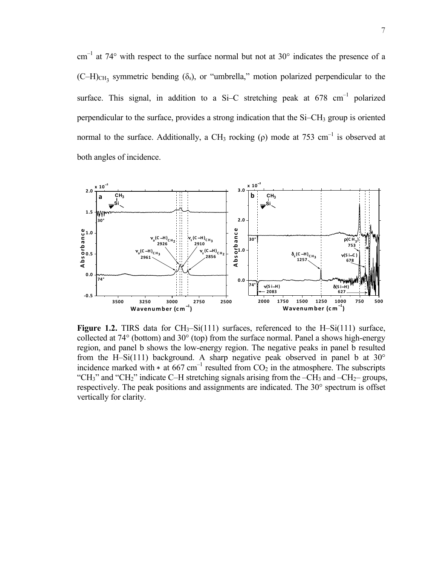$cm^{-1}$  at 74° with respect to the surface normal but not at 30° indicates the presence of a  $(C-H)_{CH_2}$  symmetric bending ( $\delta_s$ ), or "umbrella," motion polarized perpendicular to the surface. This signal, in addition to a Si–C stretching peak at  $678 \text{ cm}^{-1}$  polarized perpendicular to the surface, provides a strong indication that the Si–CH<sub>3</sub> group is oriented normal to the surface. Additionally, a CH<sub>3</sub> rocking (ρ) mode at 753 cm<sup>-1</sup> is observed at both angles of incidence.



**Figure 1.2.** TIRS data for  $CH_3-Si(111)$  surfaces, referenced to the H–Si(111) surface, collected at  $74^{\circ}$  (bottom) and  $30^{\circ}$  (top) from the surface normal. Panel a shows high-energy region, and panel b shows the low-energy region. The negative peaks in panel b resulted from the H–Si(111) background. A sharp negative peak observed in panel b at  $30^{\circ}$ incidence marked with  $*$  at 667 cm<sup>-1</sup> resulted from  $CO<sub>2</sub>$  in the atmosphere. The subscripts "CH<sub>3</sub>" and "CH<sub>2</sub>" indicate C–H stretching signals arising from the –CH<sub>3</sub> and –CH<sub>2</sub>– groups, respectively. The peak positions and assignments are indicated. The 30° spectrum is offset vertically for clarity.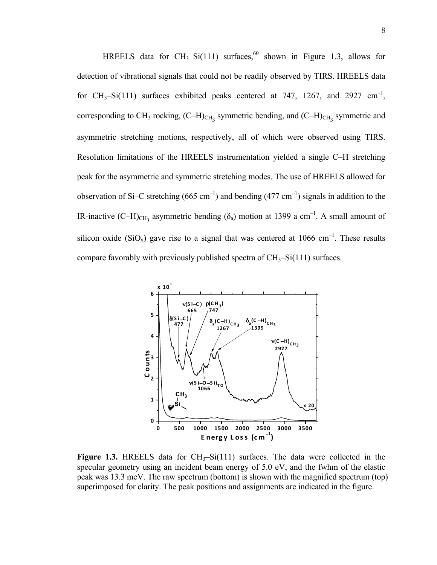HREELS data for CH<sub>3</sub>-Si(111) surfaces,<sup>60</sup> shown in Figure 1.3, allows for detection of vibrational signals that could not be readily observed by TIRS. HREELS data for CH<sub>3</sub>-Si(111) surfaces exhibited peaks centered at 747, 1267, and 2927 cm<sup>-1</sup>, corresponding to CH<sub>3</sub> rocking,  $(C-H)_{CH_3}$  symmetric bending, and  $(C-H)_{CH_3}$  symmetric and asymmetric stretching motions, respectively, all of which were observed using TIRS. Resolution limitations of the HREELS instrumentation yielded a single C–H stretching peak for the asymmetric and symmetric stretching modes. The use of HREELS allowed for observation of Si–C stretching  $(665 \text{ cm}^{-1})$  and bending  $(477 \text{ cm}^{-1})$  signals in addition to the IR-inactive (C-H)<sub>CH<sub>3</sub></sub> asymmetric bending ( $\delta_a$ ) motion at 1399 a cm<sup>-1</sup>. A small amount of silicon oxide (SiO<sub>x</sub>) gave rise to a signal that was centered at 1066 cm<sup>-1</sup>. These results compare favorably with previously published spectra of  $CH_3-Si(111)$  surfaces.



**Figure 1.3.** HREELS data for  $CH_3-Si(111)$  surfaces. The data were collected in the specular geometry using an incident beam energy of 5.0 eV, and the fwhm of the elastic peak was 13.3 meV. The raw spectrum (bottom) is shown with the magnified spectrum (top) superimposed for clarity. The peak positions and assignments are indicated in the figure.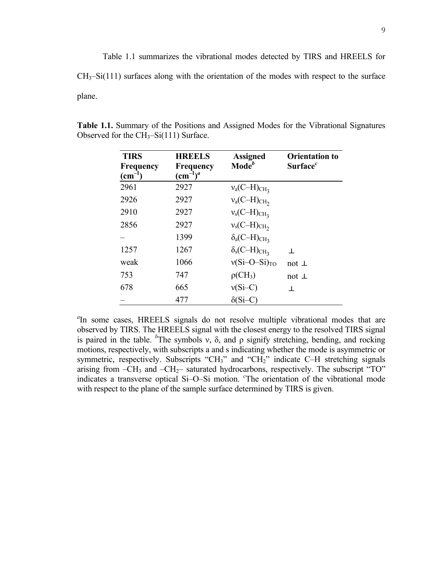Table 1.1 summarizes the vibrational modes detected by TIRS and HREELS for  $CH<sub>3</sub>$ –Si(111) surfaces along with the orientation of the modes with respect to the surface plane.

| <b>TIRS</b><br><b>Frequency</b><br>$(cm^{-1})$ | <b>HREELS</b><br><b>Frequency</b><br>$\text{(cm}^{-1})^a$ | <b>Assigned</b><br>Mode <sup>b</sup>             | <b>Orientation to</b><br>Surface $^c$ |
|------------------------------------------------|-----------------------------------------------------------|--------------------------------------------------|---------------------------------------|
| 2961                                           | 2927                                                      | $v_a$ (C-H) <sub>CH<sub>3</sub></sub>            |                                       |
| 2926                                           | 2927                                                      | $v_a$ (C-H) <sub>CH</sub> <sub>2</sub>           |                                       |
| 2910                                           | 2927                                                      | $v_s$ (C-H) <sub>CH<sub>3</sub></sub>            |                                       |
| 2856                                           | 2927                                                      | $v_s$ (C-H) $_{CH_2}$                            |                                       |
|                                                | 1399                                                      | $\delta_a(C-H)_{CH_3}$                           |                                       |
| 1257                                           | 1267                                                      | $\delta_{\rm s}$ (C-H) <sub>CH<sub>3</sub></sub> | $\mathbf{L}$                          |
| weak                                           | 1066                                                      | $v(Si-O-Si)_{TO}$                                | not $\perp$                           |
| 753                                            | 747                                                       | $\rho$ (CH <sub>3</sub> )                        | not $\perp$                           |
| 678                                            | 665                                                       | $v(Si-C)$                                        | 丄                                     |
|                                                | 477                                                       | $\delta$ (Si–C                                   |                                       |

**Table 1.1.** Summary of the Positions and Assigned Modes for the Vibrational Signatures Observed for the  $CH_3-Si(111)$  Surface.

<sup>a</sup>In some cases, HREELS signals do not resolve multiple vibrational modes that are observed by TIRS. The HREELS signal with the closest energy to the resolved TIRS signal is paired in the table. <sup>b</sup>The symbols v,  $\delta$ , and  $\rho$  signify stretching, bending, and rocking motions, respectively, with subscripts a and s indicating whether the mode is asymmetric or symmetric, respectively. Subscripts "CH<sub>3</sub>" and "CH<sub>2</sub>" indicate C–H stretching signals arising from  $-CH_3$  and  $-CH_2$ – saturated hydrocarbons, respectively. The subscript "TO" indicates a transverse optical Si–O–Si motion. *<sup>c</sup>* The orientation of the vibrational mode with respect to the plane of the sample surface determined by TIRS is given.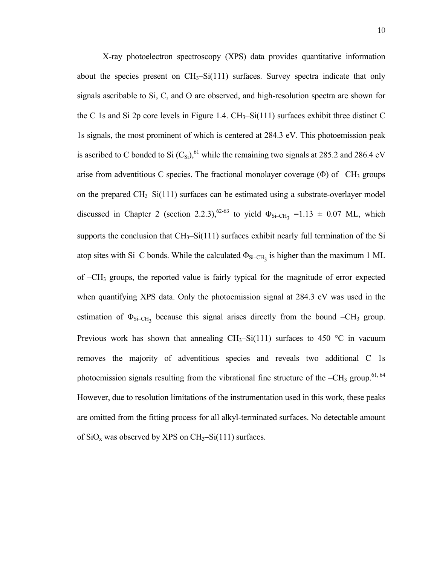X-ray photoelectron spectroscopy (XPS) data provides quantitative information about the species present on  $CH_3-Si(111)$  surfaces. Survey spectra indicate that only signals ascribable to Si, C, and O are observed, and high-resolution spectra are shown for the C 1s and Si 2p core levels in Figure 1.4.  $CH_3-Si(111)$  surfaces exhibit three distinct C 1s signals, the most prominent of which is centered at 284.3 eV. This photoemission peak is ascribed to C bonded to Si  $(C_{\text{Si}})$ , <sup>61</sup> while the remaining two signals at 285.2 and 286.4 eV arise from adventitious C species. The fractional monolayer coverage ( $\Phi$ ) of  $-CH_3$  groups on the prepared CH3–Si(111) surfaces can be estimated using a substrate-overlayer model discussed in Chapter 2 (section 2.2.3),<sup>62-63</sup> to yield  $\Phi_{\text{Si-CH}_3}$  =1.13  $\pm$  0.07 ML, which supports the conclusion that  $CH_3-Si(111)$  surfaces exhibit nearly full termination of the Si atop sites with Si–C bonds. While the calculated  $\Phi_{Si-CH_3}$  is higher than the maximum 1 ML of –CH3 groups, the reported value is fairly typical for the magnitude of error expected when quantifying XPS data. Only the photoemission signal at 284.3 eV was used in the estimation of  $\Phi_{\text{Si-CH}_3}$  because this signal arises directly from the bound –CH<sub>3</sub> group. Previous work has shown that annealing  $CH_3-Si(111)$  surfaces to 450 °C in vacuum removes the majority of adventitious species and reveals two additional C 1s photoemission signals resulting from the vibrational fine structure of the  $-CH_3$  group.<sup>61, 64</sup> However, due to resolution limitations of the instrumentation used in this work, these peaks are omitted from the fitting process for all alkyl-terminated surfaces. No detectable amount of  $SiO<sub>x</sub>$  was observed by XPS on  $CH<sub>3</sub>-Si(111)$  surfaces.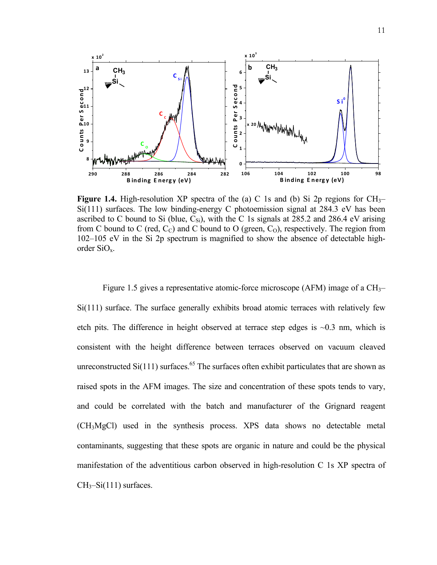

**Figure 1.4.** High-resolution XP spectra of the (a) C 1s and (b) Si 2p regions for  $CH_3$ – Si(111) surfaces. The low binding-energy C photoemission signal at 284.3 eV has been ascribed to C bound to Si (blue,  $C_{\text{Si}}$ ), with the C 1s signals at 285.2 and 286.4 eV arising from C bound to C (red,  $C<sub>C</sub>$ ) and C bound to O (green,  $C<sub>O</sub>$ ), respectively. The region from 102–105 eV in the Si 2p spectrum is magnified to show the absence of detectable highorder SiOx.

Figure 1.5 gives a representative atomic-force microscope (AFM) image of a  $CH_{3}$ - $Si(111)$  surface. The surface generally exhibits broad atomic terraces with relatively few etch pits. The difference in height observed at terrace step edges is  $\sim 0.3$  nm, which is consistent with the height difference between terraces observed on vacuum cleaved unreconstructed  $Si(111)$  surfaces.<sup>65</sup> The surfaces often exhibit particulates that are shown as raised spots in the AFM images. The size and concentration of these spots tends to vary, and could be correlated with the batch and manufacturer of the Grignard reagent (CH3MgCl) used in the synthesis process. XPS data shows no detectable metal contaminants, suggesting that these spots are organic in nature and could be the physical manifestation of the adventitious carbon observed in high-resolution C 1s XP spectra of  $CH<sub>3</sub>-Si(111)$  surfaces.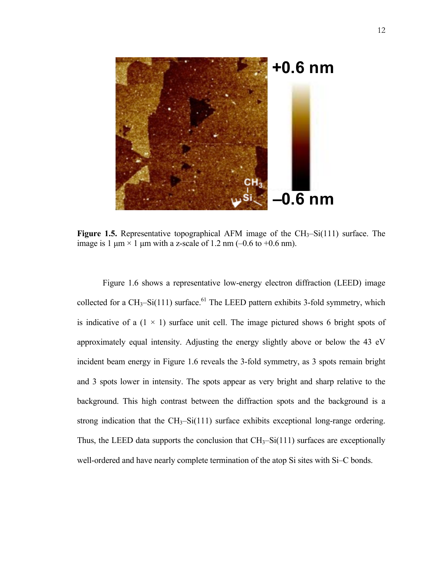

**Figure 1.5.** Representative topographical AFM image of the  $CH_3-Si(111)$  surface. The image is 1  $\mu$ m × 1  $\mu$ m with a z-scale of 1.2 nm (-0.6 to +0.6 nm).

Figure 1.6 shows a representative low-energy electron diffraction (LEED) image collected for a  $CH_3-Si(111)$  surface.<sup>61</sup> The LEED pattern exhibits 3-fold symmetry, which is indicative of a  $(1 \times 1)$  surface unit cell. The image pictured shows 6 bright spots of approximately equal intensity. Adjusting the energy slightly above or below the 43 eV incident beam energy in Figure 1.6 reveals the 3-fold symmetry, as 3 spots remain bright and 3 spots lower in intensity. The spots appear as very bright and sharp relative to the background. This high contrast between the diffraction spots and the background is a strong indication that the  $CH_3-Si(111)$  surface exhibits exceptional long-range ordering. Thus, the LEED data supports the conclusion that  $CH_3-Si(111)$  surfaces are exceptionally well-ordered and have nearly complete termination of the atop Si sites with Si–C bonds.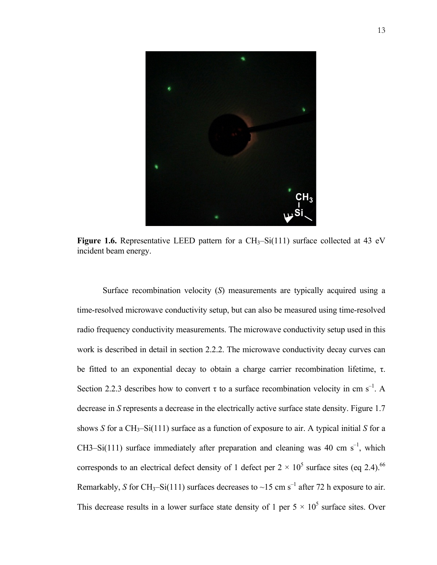

**Figure 1.6.** Representative LEED pattern for a  $CH_3-Si(111)$  surface collected at 43 eV incident beam energy.

Surface recombination velocity (*S*) measurements are typically acquired using a time-resolved microwave conductivity setup, but can also be measured using time-resolved radio frequency conductivity measurements. The microwave conductivity setup used in this work is described in detail in section 2.2.2. The microwave conductivity decay curves can be fitted to an exponential decay to obtain a charge carrier recombination lifetime, τ. Section 2.2.3 describes how to convert  $\tau$  to a surface recombination velocity in cm s<sup>-1</sup>. A decrease in *S* represents a decrease in the electrically active surface state density. Figure 1.7 shows *S* for a  $CH_3-Si(111)$  surface as a function of exposure to air. A typical initial *S* for a CH3–Si(111) surface immediately after preparation and cleaning was 40 cm  $s^{-1}$ , which corresponds to an electrical defect density of 1 defect per  $2 \times 10^5$  surface sites (eq 2.4).<sup>66</sup> Remarkably, *S* for CH<sub>3</sub>-Si(111) surfaces decreases to ~15 cm s<sup>-1</sup> after 72 h exposure to air. This decrease results in a lower surface state density of 1 per  $5 \times 10^5$  surface sites. Over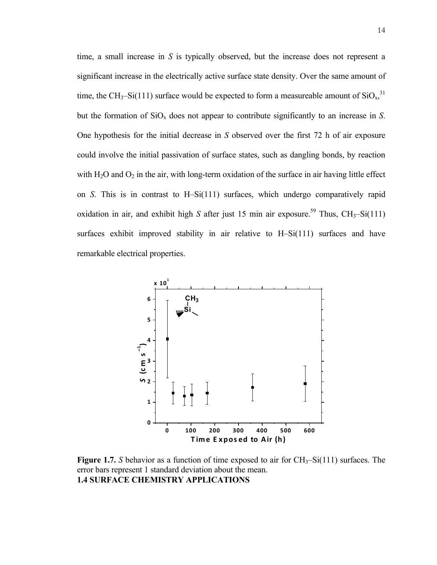time, a small increase in *S* is typically observed, but the increase does not represent a significant increase in the electrically active surface state density. Over the same amount of time, the CH<sub>3</sub>–Si(111) surface would be expected to form a measureable amount of  $SiO<sub>x</sub>$ ,<sup>31</sup> but the formation of  $SiO<sub>x</sub>$  does not appear to contribute significantly to an increase in *S*. One hypothesis for the initial decrease in *S* observed over the first 72 h of air exposure could involve the initial passivation of surface states, such as dangling bonds, by reaction with  $H_2O$  and  $O_2$  in the air, with long-term oxidation of the surface in air having little effect on *S*. This is in contrast to H–Si(111) surfaces, which undergo comparatively rapid oxidation in air, and exhibit high *S* after just 15 min air exposure.<sup>59</sup> Thus, CH<sub>3</sub>-Si(111) surfaces exhibit improved stability in air relative to H–Si(111) surfaces and have remarkable electrical properties.



**Figure 1.7.** *S* behavior as a function of time exposed to air for  $CH_3-Si(111)$  surfaces. The error bars represent 1 standard deviation about the mean. **1.4 SURFACE CHEMISTRY APPLICATIONS**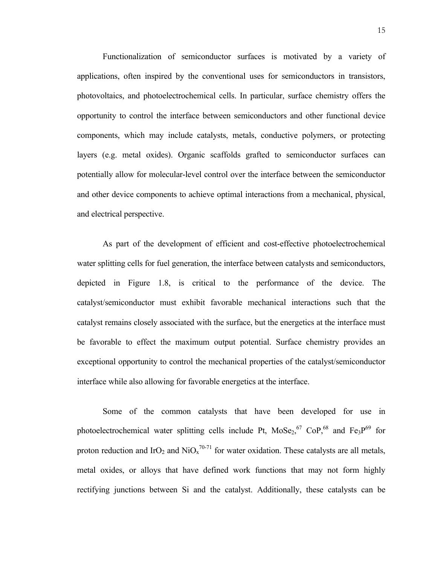Functionalization of semiconductor surfaces is motivated by a variety of applications, often inspired by the conventional uses for semiconductors in transistors, photovoltaics, and photoelectrochemical cells. In particular, surface chemistry offers the opportunity to control the interface between semiconductors and other functional device components, which may include catalysts, metals, conductive polymers, or protecting layers (e.g. metal oxides). Organic scaffolds grafted to semiconductor surfaces can potentially allow for molecular-level control over the interface between the semiconductor and other device components to achieve optimal interactions from a mechanical, physical, and electrical perspective.

As part of the development of efficient and cost-effective photoelectrochemical water splitting cells for fuel generation, the interface between catalysts and semiconductors, depicted in Figure 1.8, is critical to the performance of the device. The catalyst/semiconductor must exhibit favorable mechanical interactions such that the catalyst remains closely associated with the surface, but the energetics at the interface must be favorable to effect the maximum output potential. Surface chemistry provides an exceptional opportunity to control the mechanical properties of the catalyst/semiconductor interface while also allowing for favorable energetics at the interface.

Some of the common catalysts that have been developed for use in photoelectrochemical water splitting cells include Pt,  $M_0Se_2$ <sup>67</sup> CoP,<sup>68</sup> and Fe<sub>3</sub>P<sup>69</sup> for proton reduction and IrO<sub>2</sub> and NiO<sub>x</sub><sup>70-71</sup> for water oxidation. These catalysts are all metals, metal oxides, or alloys that have defined work functions that may not form highly rectifying junctions between Si and the catalyst. Additionally, these catalysts can be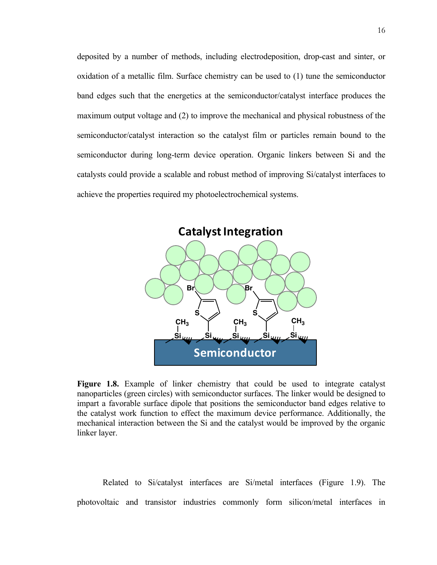deposited by a number of methods, including electrodeposition, drop-cast and sinter, or oxidation of a metallic film. Surface chemistry can be used to (1) tune the semiconductor band edges such that the energetics at the semiconductor/catalyst interface produces the maximum output voltage and (2) to improve the mechanical and physical robustness of the semiconductor/catalyst interaction so the catalyst film or particles remain bound to the semiconductor during long-term device operation. Organic linkers between Si and the catalysts could provide a scalable and robust method of improving Si/catalyst interfaces to achieve the properties required my photoelectrochemical systems.



**Figure 1.8.** Example of linker chemistry that could be used to integrate catalyst nanoparticles (green circles) with semiconductor surfaces. The linker would be designed to impart a favorable surface dipole that positions the semiconductor band edges relative to the catalyst work function to effect the maximum device performance. Additionally, the mechanical interaction between the Si and the catalyst would be improved by the organic linker layer.

Related to Si/catalyst interfaces are Si/metal interfaces (Figure 1.9). The photovoltaic and transistor industries commonly form silicon/metal interfaces in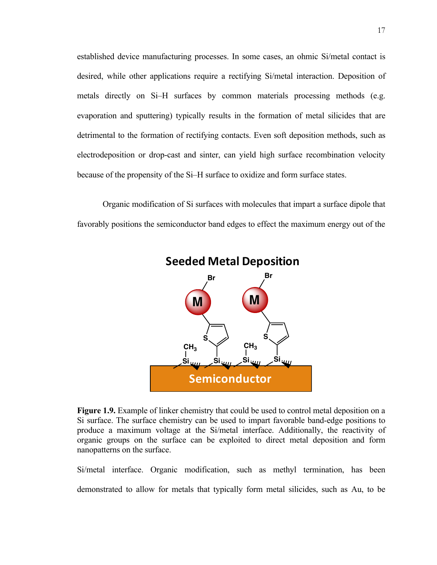established device manufacturing processes. In some cases, an ohmic Si/metal contact is desired, while other applications require a rectifying Si/metal interaction. Deposition of metals directly on Si–H surfaces by common materials processing methods (e.g. evaporation and sputtering) typically results in the formation of metal silicides that are detrimental to the formation of rectifying contacts. Even soft deposition methods, such as electrodeposition or drop-cast and sinter, can yield high surface recombination velocity because of the propensity of the Si–H surface to oxidize and form surface states.

Organic modification of Si surfaces with molecules that impart a surface dipole that favorably positions the semiconductor band edges to effect the maximum energy out of the



**Seeded Metal Deposition**

**Figure 1.9.** Example of linker chemistry that could be used to control metal deposition on a Si surface. The surface chemistry can be used to impart favorable band-edge positions to produce a maximum voltage at the Si/metal interface. Additionally, the reactivity of organic groups on the surface can be exploited to direct metal deposition and form nanopatterns on the surface.

Si/metal interface. Organic modification, such as methyl termination, has been demonstrated to allow for metals that typically form metal silicides, such as Au, to be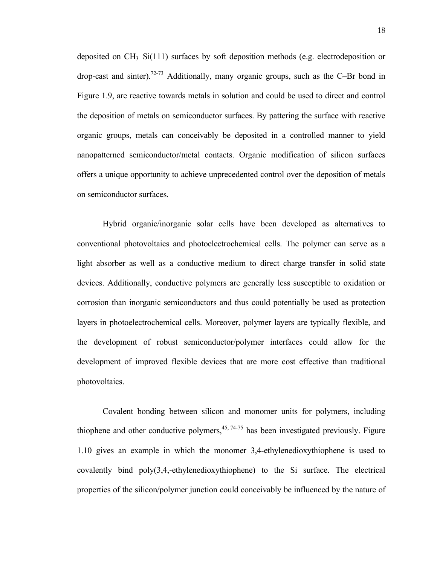deposited on  $CH_3-Si(111)$  surfaces by soft deposition methods (e.g. electrodeposition or drop-cast and sinter).<sup>72-73</sup> Additionally, many organic groups, such as the C–Br bond in Figure 1.9, are reactive towards metals in solution and could be used to direct and control the deposition of metals on semiconductor surfaces. By pattering the surface with reactive organic groups, metals can conceivably be deposited in a controlled manner to yield nanopatterned semiconductor/metal contacts. Organic modification of silicon surfaces offers a unique opportunity to achieve unprecedented control over the deposition of metals on semiconductor surfaces.

Hybrid organic/inorganic solar cells have been developed as alternatives to conventional photovoltaics and photoelectrochemical cells. The polymer can serve as a light absorber as well as a conductive medium to direct charge transfer in solid state devices. Additionally, conductive polymers are generally less susceptible to oxidation or corrosion than inorganic semiconductors and thus could potentially be used as protection layers in photoelectrochemical cells. Moreover, polymer layers are typically flexible, and the development of robust semiconductor/polymer interfaces could allow for the development of improved flexible devices that are more cost effective than traditional photovoltaics.

Covalent bonding between silicon and monomer units for polymers, including thiophene and other conductive polymers,  $45, 74-75$  has been investigated previously. Figure 1.10 gives an example in which the monomer 3,4-ethylenedioxythiophene is used to covalently bind poly(3,4,-ethylenedioxythiophene) to the Si surface. The electrical properties of the silicon/polymer junction could conceivably be influenced by the nature of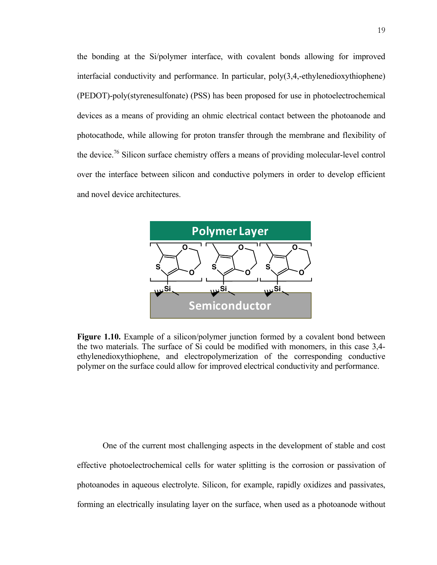the bonding at the Si/polymer interface, with covalent bonds allowing for improved interfacial conductivity and performance. In particular, poly(3,4,-ethylenedioxythiophene) (PEDOT)-poly(styrenesulfonate) (PSS) has been proposed for use in photoelectrochemical devices as a means of providing an ohmic electrical contact between the photoanode and photocathode, while allowing for proton transfer through the membrane and flexibility of the device.<sup>76</sup> Silicon surface chemistry offers a means of providing molecular-level control over the interface between silicon and conductive polymers in order to develop efficient and novel device architectures.



**Figure 1.10.** Example of a silicon/polymer junction formed by a covalent bond between the two materials. The surface of Si could be modified with monomers, in this case 3,4 ethylenedioxythiophene, and electropolymerization of the corresponding conductive polymer on the surface could allow for improved electrical conductivity and performance.

One of the current most challenging aspects in the development of stable and cost effective photoelectrochemical cells for water splitting is the corrosion or passivation of photoanodes in aqueous electrolyte. Silicon, for example, rapidly oxidizes and passivates, forming an electrically insulating layer on the surface, when used as a photoanode without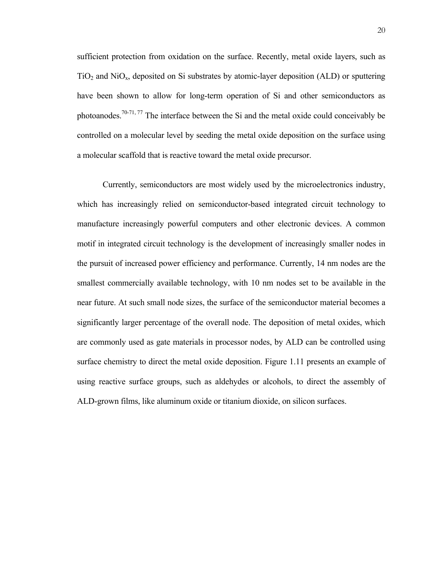sufficient protection from oxidation on the surface. Recently, metal oxide layers, such as  $TiO<sub>2</sub>$  and NiO<sub>x</sub>, deposited on Si substrates by atomic-layer deposition (ALD) or sputtering have been shown to allow for long-term operation of Si and other semiconductors as photoanodes.<sup>70-71, 77</sup> The interface between the Si and the metal oxide could conceivably be controlled on a molecular level by seeding the metal oxide deposition on the surface using a molecular scaffold that is reactive toward the metal oxide precursor.

Currently, semiconductors are most widely used by the microelectronics industry, which has increasingly relied on semiconductor-based integrated circuit technology to manufacture increasingly powerful computers and other electronic devices. A common motif in integrated circuit technology is the development of increasingly smaller nodes in the pursuit of increased power efficiency and performance. Currently, 14 nm nodes are the smallest commercially available technology, with 10 nm nodes set to be available in the near future. At such small node sizes, the surface of the semiconductor material becomes a significantly larger percentage of the overall node. The deposition of metal oxides, which are commonly used as gate materials in processor nodes, by ALD can be controlled using surface chemistry to direct the metal oxide deposition. Figure 1.11 presents an example of using reactive surface groups, such as aldehydes or alcohols, to direct the assembly of ALD-grown films, like aluminum oxide or titanium dioxide, on silicon surfaces.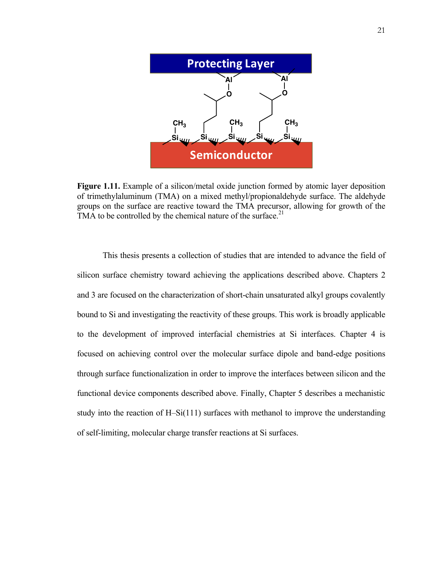

**Figure 1.11.** Example of a silicon/metal oxide junction formed by atomic layer deposition of trimethylaluminum (TMA) on a mixed methyl/propionaldehyde surface. The aldehyde groups on the surface are reactive toward the TMA precursor, allowing for growth of the TMA to be controlled by the chemical nature of the surface.<sup>21</sup>

This thesis presents a collection of studies that are intended to advance the field of silicon surface chemistry toward achieving the applications described above. Chapters 2 and 3 are focused on the characterization of short-chain unsaturated alkyl groups covalently bound to Si and investigating the reactivity of these groups. This work is broadly applicable to the development of improved interfacial chemistries at Si interfaces. Chapter 4 is focused on achieving control over the molecular surface dipole and band-edge positions through surface functionalization in order to improve the interfaces between silicon and the functional device components described above. Finally, Chapter 5 describes a mechanistic study into the reaction of H–Si(111) surfaces with methanol to improve the understanding of self-limiting, molecular charge transfer reactions at Si surfaces.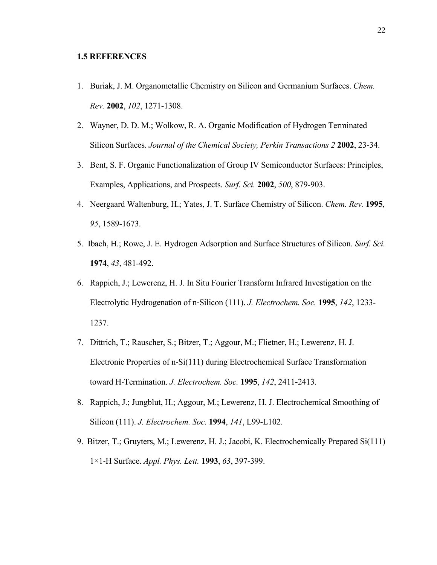### **1.5 REFERENCES**

- 1. Buriak, J. M. Organometallic Chemistry on Silicon and Germanium Surfaces. *Chem. Rev.* **2002**, *102*, 1271-1308.
- 2. Wayner, D. D. M.; Wolkow, R. A. Organic Modification of Hydrogen Terminated Silicon Surfaces. *Journal of the Chemical Society, Perkin Transactions 2* **2002**, 23-34.
- 3. Bent, S. F. Organic Functionalization of Group IV Semiconductor Surfaces: Principles, Examples, Applications, and Prospects. *Surf. Sci.* **2002**, *500*, 879-903.
- 4. Neergaard Waltenburg, H.; Yates, J. T. Surface Chemistry of Silicon. *Chem. Rev.* **1995**, *95*, 1589-1673.
- 5. Ibach, H.; Rowe, J. E. Hydrogen Adsorption and Surface Structures of Silicon. *Surf. Sci.*  **1974**, *43*, 481-492.
- 6. Rappich, J.; Lewerenz, H. J. In Situ Fourier Transform Infrared Investigation on the Electrolytic Hydrogenation of n‐Silicon (111). *J. Electrochem. Soc.* **1995**, *142*, 1233- 1237.
- 7. Dittrich, T.; Rauscher, S.; Bitzer, T.; Aggour, M.; Flietner, H.; Lewerenz, H. J. Electronic Properties of n‐Si(111) during Electrochemical Surface Transformation toward H‐Termination. *J. Electrochem. Soc.* **1995**, *142*, 2411-2413.
- 8. Rappich, J.; Jungblut, H.; Aggour, M.; Lewerenz, H. J. Electrochemical Smoothing of Silicon (111). *J. Electrochem. Soc.* **1994**, *141*, L99-L102.
- 9. Bitzer, T.; Gruyters, M.; Lewerenz, H. J.; Jacobi, K. Electrochemically Prepared Si(111) 1×1‐H Surface. *Appl. Phys. Lett.* **1993**, *63*, 397-399.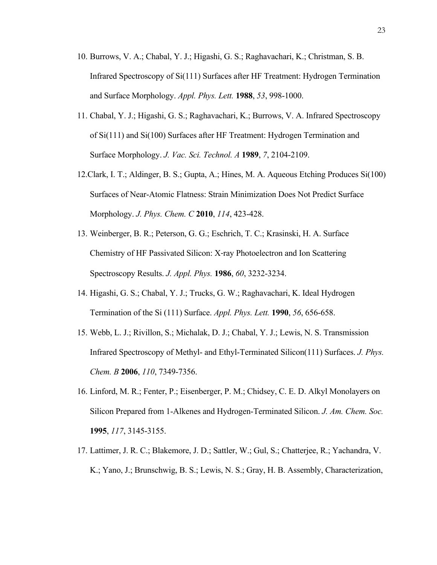- 10. Burrows, V. A.; Chabal, Y. J.; Higashi, G. S.; Raghavachari, K.; Christman, S. B. Infrared Spectroscopy of Si(111) Surfaces after HF Treatment: Hydrogen Termination and Surface Morphology. *Appl. Phys. Lett.* **1988**, *53*, 998-1000.
- 11. Chabal, Y. J.; Higashi, G. S.; Raghavachari, K.; Burrows, V. A. Infrared Spectroscopy of Si(111) and Si(100) Surfaces after HF Treatment: Hydrogen Termination and Surface Morphology. *J. Vac. Sci. Technol. A* **1989**, *7*, 2104-2109.
- 12.Clark, I. T.; Aldinger, B. S.; Gupta, A.; Hines, M. A. Aqueous Etching Produces Si(100) Surfaces of Near-Atomic Flatness: Strain Minimization Does Not Predict Surface Morphology. *J. Phys. Chem. C* **2010**, *114*, 423-428.
- 13. Weinberger, B. R.; Peterson, G. G.; Eschrich, T. C.; Krasinski, H. A. Surface Chemistry of HF Passivated Silicon: X‐ray Photoelectron and Ion Scattering Spectroscopy Results. *J. Appl. Phys.* **1986**, *60*, 3232-3234.
- 14. Higashi, G. S.; Chabal, Y. J.; Trucks, G. W.; Raghavachari, K. Ideal Hydrogen Termination of the Si (111) Surface. *Appl. Phys. Lett.* **1990**, *56*, 656-658.
- 15. Webb, L. J.; Rivillon, S.; Michalak, D. J.; Chabal, Y. J.; Lewis, N. S. Transmission Infrared Spectroscopy of Methyl- and Ethyl-Terminated Silicon(111) Surfaces. *J. Phys. Chem. B* **2006**, *110*, 7349-7356.
- 16. Linford, M. R.; Fenter, P.; Eisenberger, P. M.; Chidsey, C. E. D. Alkyl Monolayers on Silicon Prepared from 1-Alkenes and Hydrogen-Terminated Silicon. *J. Am. Chem. Soc.*  **1995**, *117*, 3145-3155.
- 17. Lattimer, J. R. C.; Blakemore, J. D.; Sattler, W.; Gul, S.; Chatterjee, R.; Yachandra, V. K.; Yano, J.; Brunschwig, B. S.; Lewis, N. S.; Gray, H. B. Assembly, Characterization,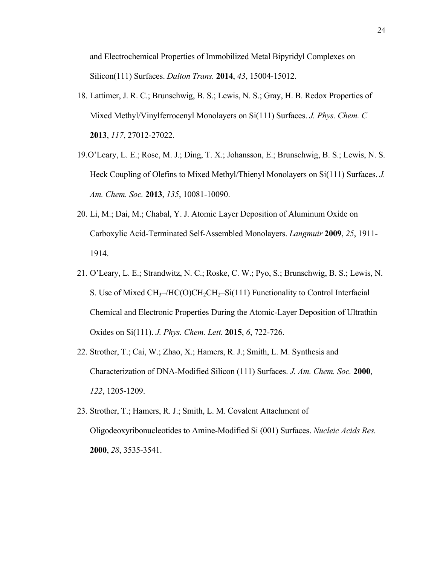and Electrochemical Properties of Immobilized Metal Bipyridyl Complexes on Silicon(111) Surfaces. *Dalton Trans.* **2014**, *43*, 15004-15012.

- 18. Lattimer, J. R. C.; Brunschwig, B. S.; Lewis, N. S.; Gray, H. B. Redox Properties of Mixed Methyl/Vinylferrocenyl Monolayers on Si(111) Surfaces. *J. Phys. Chem. C*  **2013**, *117*, 27012-27022.
- 19.O'Leary, L. E.; Rose, M. J.; Ding, T. X.; Johansson, E.; Brunschwig, B. S.; Lewis, N. S. Heck Coupling of Olefins to Mixed Methyl/Thienyl Monolayers on Si(111) Surfaces. *J. Am. Chem. Soc.* **2013**, *135*, 10081-10090.
- 20. Li, M.; Dai, M.; Chabal, Y. J. Atomic Layer Deposition of Aluminum Oxide on Carboxylic Acid-Terminated Self-Assembled Monolayers. *Langmuir* **2009**, *25*, 1911- 1914.
- 21. O'Leary, L. E.; Strandwitz, N. C.; Roske, C. W.; Pyo, S.; Brunschwig, B. S.; Lewis, N. S. Use of Mixed  $CH_3$ -/HC(O)CH<sub>2</sub>CH<sub>2</sub>-Si(111) Functionality to Control Interfacial Chemical and Electronic Properties During the Atomic-Layer Deposition of Ultrathin Oxides on Si(111). *J. Phys. Chem. Lett.* **2015**, *6*, 722-726.
- 22. Strother, T.; Cai, W.; Zhao, X.; Hamers, R. J.; Smith, L. M. Synthesis and Characterization of DNA-Modified Silicon (111) Surfaces. *J. Am. Chem. Soc.* **2000**, *122*, 1205-1209.
- 23. Strother, T.; Hamers, R. J.; Smith, L. M. Covalent Attachment of Oligodeoxyribonucleotides to Amine-Modified Si (001) Surfaces. *Nucleic Acids Res.*  **2000**, *28*, 3535-3541.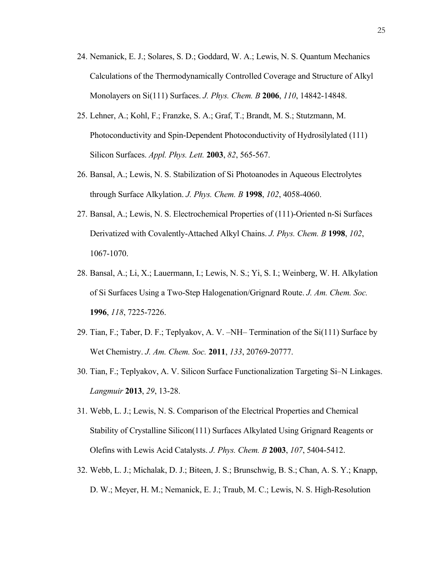- 24. Nemanick, E. J.; Solares, S. D.; Goddard, W. A.; Lewis, N. S. Quantum Mechanics Calculations of the Thermodynamically Controlled Coverage and Structure of Alkyl Monolayers on Si(111) Surfaces. *J. Phys. Chem. B* **2006**, *110*, 14842-14848.
- 25. Lehner, A.; Kohl, F.; Franzke, S. A.; Graf, T.; Brandt, M. S.; Stutzmann, M. Photoconductivity and Spin-Dependent Photoconductivity of Hydrosilylated (111) Silicon Surfaces. *Appl. Phys. Lett.* **2003**, *82*, 565-567.
- 26. Bansal, A.; Lewis, N. S. Stabilization of Si Photoanodes in Aqueous Electrolytes through Surface Alkylation. *J. Phys. Chem. B* **1998**, *102*, 4058-4060.
- 27. Bansal, A.; Lewis, N. S. Electrochemical Properties of (111)-Oriented n-Si Surfaces Derivatized with Covalently-Attached Alkyl Chains. *J. Phys. Chem. B* **1998**, *102*, 1067-1070.
- 28. Bansal, A.; Li, X.; Lauermann, I.; Lewis, N. S.; Yi, S. I.; Weinberg, W. H. Alkylation of Si Surfaces Using a Two-Step Halogenation/Grignard Route. *J. Am. Chem. Soc.*  **1996**, *118*, 7225-7226.
- 29. Tian, F.; Taber, D. F.; Teplyakov, A. V. –NH– Termination of the Si(111) Surface by Wet Chemistry. *J. Am. Chem. Soc.* **2011**, *133*, 20769-20777.
- 30. Tian, F.; Teplyakov, A. V. Silicon Surface Functionalization Targeting Si–N Linkages. *Langmuir* **2013**, *29*, 13-28.
- 31. Webb, L. J.; Lewis, N. S. Comparison of the Electrical Properties and Chemical Stability of Crystalline Silicon(111) Surfaces Alkylated Using Grignard Reagents or Olefins with Lewis Acid Catalysts. *J. Phys. Chem. B* **2003**, *107*, 5404-5412.
- 32. Webb, L. J.; Michalak, D. J.; Biteen, J. S.; Brunschwig, B. S.; Chan, A. S. Y.; Knapp, D. W.; Meyer, H. M.; Nemanick, E. J.; Traub, M. C.; Lewis, N. S. High-Resolution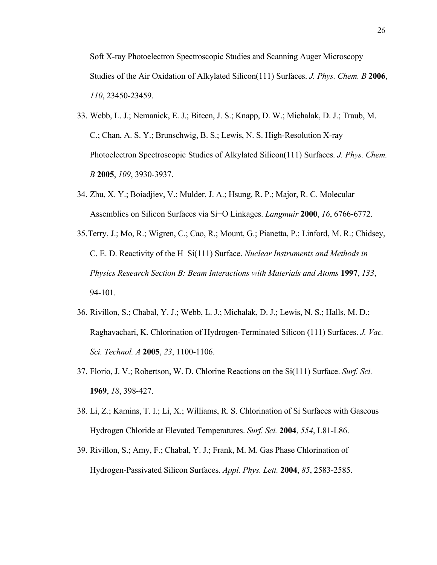Soft X-ray Photoelectron Spectroscopic Studies and Scanning Auger Microscopy Studies of the Air Oxidation of Alkylated Silicon(111) Surfaces. *J. Phys. Chem. B* **2006**, *110*, 23450-23459.

- 33. Webb, L. J.; Nemanick, E. J.; Biteen, J. S.; Knapp, D. W.; Michalak, D. J.; Traub, M. C.; Chan, A. S. Y.; Brunschwig, B. S.; Lewis, N. S. High-Resolution X-ray Photoelectron Spectroscopic Studies of Alkylated Silicon(111) Surfaces. *J. Phys. Chem. B* **2005**, *109*, 3930-3937.
- 34. Zhu, X. Y.; Boiadjiev, V.; Mulder, J. A.; Hsung, R. P.; Major, R. C. Molecular Assemblies on Silicon Surfaces via Si−O Linkages. *Langmuir* **2000**, *16*, 6766-6772.
- 35.Terry, J.; Mo, R.; Wigren, C.; Cao, R.; Mount, G.; Pianetta, P.; Linford, M. R.; Chidsey, C. E. D. Reactivity of the H–Si(111) Surface. *Nuclear Instruments and Methods in Physics Research Section B: Beam Interactions with Materials and Atoms* **1997**, *133*, 94-101.
- 36. Rivillon, S.; Chabal, Y. J.; Webb, L. J.; Michalak, D. J.; Lewis, N. S.; Halls, M. D.; Raghavachari, K. Chlorination of Hydrogen-Terminated Silicon (111) Surfaces. *J. Vac. Sci. Technol. A* **2005**, *23*, 1100-1106.
- 37. Florio, J. V.; Robertson, W. D. Chlorine Reactions on the Si(111) Surface. *Surf. Sci.*  **1969**, *18*, 398-427.
- 38. Li, Z.; Kamins, T. I.; Li, X.; Williams, R. S. Chlorination of Si Surfaces with Gaseous Hydrogen Chloride at Elevated Temperatures. *Surf. Sci.* **2004**, *554*, L81-L86.
- 39. Rivillon, S.; Amy, F.; Chabal, Y. J.; Frank, M. M. Gas Phase Chlorination of Hydrogen-Passivated Silicon Surfaces. *Appl. Phys. Lett.* **2004**, *85*, 2583-2585.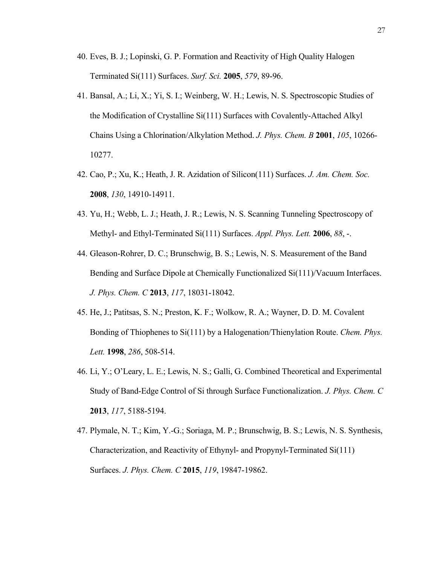- 40. Eves, B. J.; Lopinski, G. P. Formation and Reactivity of High Quality Halogen Terminated Si(111) Surfaces. *Surf. Sci.* **2005**, *579*, 89-96.
- 41. Bansal, A.; Li, X.; Yi, S. I.; Weinberg, W. H.; Lewis, N. S. Spectroscopic Studies of the Modification of Crystalline Si(111) Surfaces with Covalently-Attached Alkyl Chains Using a Chlorination/Alkylation Method. *J. Phys. Chem. B* **2001**, *105*, 10266- 10277.
- 42. Cao, P.; Xu, K.; Heath, J. R. Azidation of Silicon(111) Surfaces. *J. Am. Chem. Soc.*  **2008**, *130*, 14910-14911.
- 43. Yu, H.; Webb, L. J.; Heath, J. R.; Lewis, N. S. Scanning Tunneling Spectroscopy of Methyl- and Ethyl-Terminated Si(111) Surfaces. *Appl. Phys. Lett.* **2006**, *88*, -.
- 44. Gleason-Rohrer, D. C.; Brunschwig, B. S.; Lewis, N. S. Measurement of the Band Bending and Surface Dipole at Chemically Functionalized Si(111)/Vacuum Interfaces. *J. Phys. Chem. C* **2013**, *117*, 18031-18042.
- 45. He, J.; Patitsas, S. N.; Preston, K. F.; Wolkow, R. A.; Wayner, D. D. M. Covalent Bonding of Thiophenes to Si(111) by a Halogenation/Thienylation Route. *Chem. Phys. Lett.* **1998**, *286*, 508-514.
- 46. Li, Y.; O'Leary, L. E.; Lewis, N. S.; Galli, G. Combined Theoretical and Experimental Study of Band-Edge Control of Si through Surface Functionalization. *J. Phys. Chem. C*  **2013**, *117*, 5188-5194.
- 47. Plymale, N. T.; Kim, Y.-G.; Soriaga, M. P.; Brunschwig, B. S.; Lewis, N. S. Synthesis, Characterization, and Reactivity of Ethynyl- and Propynyl-Terminated Si(111) Surfaces. *J. Phys. Chem. C* **2015**, *119*, 19847-19862.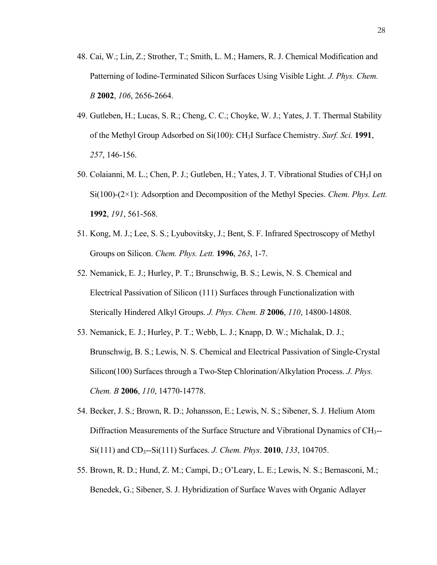- 48. Cai, W.; Lin, Z.; Strother, T.; Smith, L. M.; Hamers, R. J. Chemical Modification and Patterning of Iodine-Terminated Silicon Surfaces Using Visible Light. *J. Phys. Chem. B* **2002**, *106*, 2656-2664.
- 49. Gutleben, H.; Lucas, S. R.; Cheng, C. C.; Choyke, W. J.; Yates, J. T. Thermal Stability of the Methyl Group Adsorbed on Si(100): CH3I Surface Chemistry. *Surf. Sci.* **1991**, *257*, 146-156.
- 50. Colaianni, M. L.; Chen, P. J.; Gutleben, H.; Yates, J. T. Vibrational Studies of CH3I on Si(100)-(2×1): Adsorption and Decomposition of the Methyl Species. *Chem. Phys. Lett.*  **1992**, *191*, 561-568.
- 51. Kong, M. J.; Lee, S. S.; Lyubovitsky, J.; Bent, S. F. Infrared Spectroscopy of Methyl Groups on Silicon. *Chem. Phys. Lett.* **1996**, *263*, 1-7.
- 52. Nemanick, E. J.; Hurley, P. T.; Brunschwig, B. S.; Lewis, N. S. Chemical and Electrical Passivation of Silicon (111) Surfaces through Functionalization with Sterically Hindered Alkyl Groups. *J. Phys. Chem. B* **2006**, *110*, 14800-14808.
- 53. Nemanick, E. J.; Hurley, P. T.; Webb, L. J.; Knapp, D. W.; Michalak, D. J.; Brunschwig, B. S.; Lewis, N. S. Chemical and Electrical Passivation of Single-Crystal Silicon(100) Surfaces through a Two-Step Chlorination/Alkylation Process. *J. Phys. Chem. B* **2006**, *110*, 14770-14778.
- 54. Becker, J. S.; Brown, R. D.; Johansson, E.; Lewis, N. S.; Sibener, S. J. Helium Atom Diffraction Measurements of the Surface Structure and Vibrational Dynamics of CH<sub>3</sub>--Si(111) and CD3--Si(111) Surfaces. *J. Chem. Phys.* **2010**, *133*, 104705.
- 55. Brown, R. D.; Hund, Z. M.; Campi, D.; O'Leary, L. E.; Lewis, N. S.; Bernasconi, M.; Benedek, G.; Sibener, S. J. Hybridization of Surface Waves with Organic Adlayer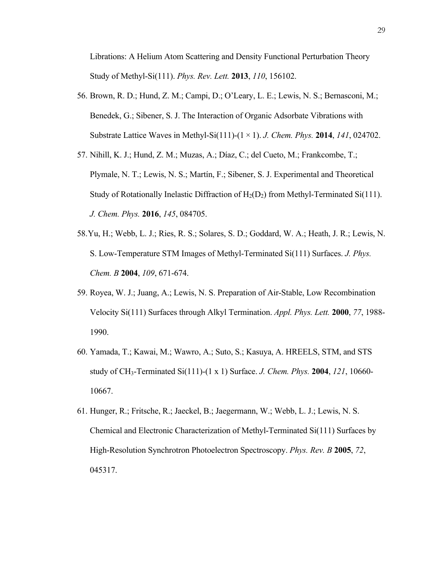Librations: A Helium Atom Scattering and Density Functional Perturbation Theory Study of Methyl-Si(111). *Phys. Rev. Lett.* **2013**, *110*, 156102.

- 56. Brown, R. D.; Hund, Z. M.; Campi, D.; O'Leary, L. E.; Lewis, N. S.; Bernasconi, M.; Benedek, G.; Sibener, S. J. The Interaction of Organic Adsorbate Vibrations with Substrate Lattice Waves in Methyl-Si(111)-(1 × 1). *J. Chem. Phys.* **2014**, *141*, 024702.
- 57. Nihill, K. J.; Hund, Z. M.; Muzas, A.; Díaz, C.; del Cueto, M.; Frankcombe, T.; Plymale, N. T.; Lewis, N. S.; Martín, F.; Sibener, S. J. Experimental and Theoretical Study of Rotationally Inelastic Diffraction of  $H_2(D_2)$  from Methyl-Terminated Si(111). *J. Chem. Phys.* **2016**, *145*, 084705.
- 58.Yu, H.; Webb, L. J.; Ries, R. S.; Solares, S. D.; Goddard, W. A.; Heath, J. R.; Lewis, N. S. Low-Temperature STM Images of Methyl-Terminated Si(111) Surfaces. *J. Phys. Chem. B* **2004**, *109*, 671-674.
- 59. Royea, W. J.; Juang, A.; Lewis, N. S. Preparation of Air-Stable, Low Recombination Velocity Si(111) Surfaces through Alkyl Termination. *Appl. Phys. Lett.* **2000**, *77*, 1988- 1990.
- 60. Yamada, T.; Kawai, M.; Wawro, A.; Suto, S.; Kasuya, A. HREELS, STM, and STS study of CH3-Terminated Si(111)-(1 x 1) Surface. *J. Chem. Phys.* **2004**, *121*, 10660- 10667.
- 61. Hunger, R.; Fritsche, R.; Jaeckel, B.; Jaegermann, W.; Webb, L. J.; Lewis, N. S. Chemical and Electronic Characterization of Methyl-Terminated Si(111) Surfaces by High-Resolution Synchrotron Photoelectron Spectroscopy. *Phys. Rev. B* **2005**, *72*, 045317.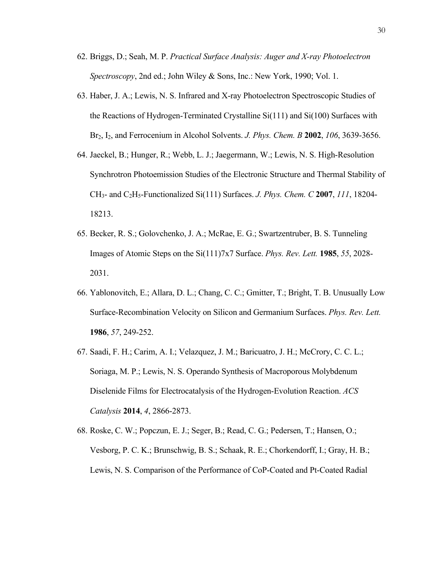- 62. Briggs, D.; Seah, M. P. *Practical Surface Analysis: Auger and X-ray Photoelectron Spectroscopy*, 2nd ed.; John Wiley & Sons, Inc.: New York, 1990; Vol. 1.
- 63. Haber, J. A.; Lewis, N. S. Infrared and X-ray Photoelectron Spectroscopic Studies of the Reactions of Hydrogen-Terminated Crystalline Si(111) and Si(100) Surfaces with Br2, I2, and Ferrocenium in Alcohol Solvents. *J. Phys. Chem. B* **2002**, *106*, 3639-3656.
- 64. Jaeckel, B.; Hunger, R.; Webb, L. J.; Jaegermann, W.; Lewis, N. S. High-Resolution Synchrotron Photoemission Studies of the Electronic Structure and Thermal Stability of CH3- and C2H5-Functionalized Si(111) Surfaces. *J. Phys. Chem. C* **2007**, *111*, 18204- 18213.
- 65. Becker, R. S.; Golovchenko, J. A.; McRae, E. G.; Swartzentruber, B. S. Tunneling Images of Atomic Steps on the Si(111)7x7 Surface. *Phys. Rev. Lett.* **1985**, *55*, 2028- 2031.
- 66. Yablonovitch, E.; Allara, D. L.; Chang, C. C.; Gmitter, T.; Bright, T. B. Unusually Low Surface-Recombination Velocity on Silicon and Germanium Surfaces. *Phys. Rev. Lett.*  **1986**, *57*, 249-252.
- 67. Saadi, F. H.; Carim, A. I.; Velazquez, J. M.; Baricuatro, J. H.; McCrory, C. C. L.; Soriaga, M. P.; Lewis, N. S. Operando Synthesis of Macroporous Molybdenum Diselenide Films for Electrocatalysis of the Hydrogen-Evolution Reaction. *ACS Catalysis* **2014**, *4*, 2866-2873.
- 68. Roske, C. W.; Popczun, E. J.; Seger, B.; Read, C. G.; Pedersen, T.; Hansen, O.; Vesborg, P. C. K.; Brunschwig, B. S.; Schaak, R. E.; Chorkendorff, I.; Gray, H. B.; Lewis, N. S. Comparison of the Performance of CoP-Coated and Pt-Coated Radial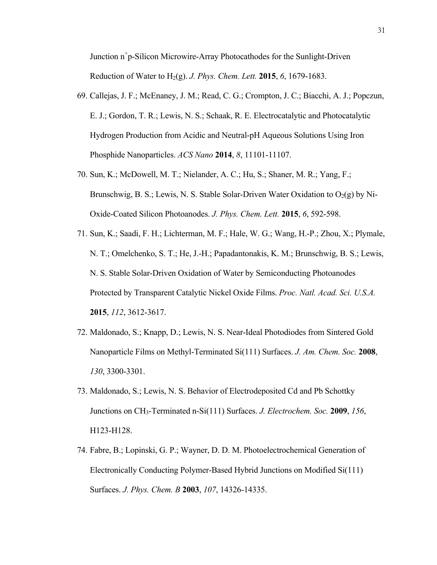Junction n<sup>+</sup>p-Silicon Microwire-Array Photocathodes for the Sunlight-Driven Reduction of Water to H2(g). *J. Phys. Chem. Lett.* **2015**, *6*, 1679-1683.

- 69. Callejas, J. F.; McEnaney, J. M.; Read, C. G.; Crompton, J. C.; Biacchi, A. J.; Popczun, E. J.; Gordon, T. R.; Lewis, N. S.; Schaak, R. E. Electrocatalytic and Photocatalytic Hydrogen Production from Acidic and Neutral-pH Aqueous Solutions Using Iron Phosphide Nanoparticles. *ACS Nano* **2014**, *8*, 11101-11107.
- 70. Sun, K.; McDowell, M. T.; Nielander, A. C.; Hu, S.; Shaner, M. R.; Yang, F.; Brunschwig, B. S.; Lewis, N. S. Stable Solar-Driven Water Oxidation to  $O_2(g)$  by Ni-Oxide-Coated Silicon Photoanodes. *J. Phys. Chem. Lett.* **2015**, *6*, 592-598.
- 71. Sun, K.; Saadi, F. H.; Lichterman, M. F.; Hale, W. G.; Wang, H.-P.; Zhou, X.; Plymale, N. T.; Omelchenko, S. T.; He, J.-H.; Papadantonakis, K. M.; Brunschwig, B. S.; Lewis, N. S. Stable Solar-Driven Oxidation of Water by Semiconducting Photoanodes Protected by Transparent Catalytic Nickel Oxide Films. *Proc. Natl. Acad. Sci. U.S.A.*  **2015**, *112*, 3612-3617.
- 72. Maldonado, S.; Knapp, D.; Lewis, N. S. Near-Ideal Photodiodes from Sintered Gold Nanoparticle Films on Methyl-Terminated Si(111) Surfaces. *J. Am. Chem. Soc.* **2008**, *130*, 3300-3301.
- 73. Maldonado, S.; Lewis, N. S. Behavior of Electrodeposited Cd and Pb Schottky Junctions on CH3-Terminated n-Si(111) Surfaces. *J. Electrochem. Soc.* **2009**, *156*, H123-H128.
- 74. Fabre, B.; Lopinski, G. P.; Wayner, D. D. M. Photoelectrochemical Generation of Electronically Conducting Polymer-Based Hybrid Junctions on Modified Si(111) Surfaces. *J. Phys. Chem. B* **2003**, *107*, 14326-14335.